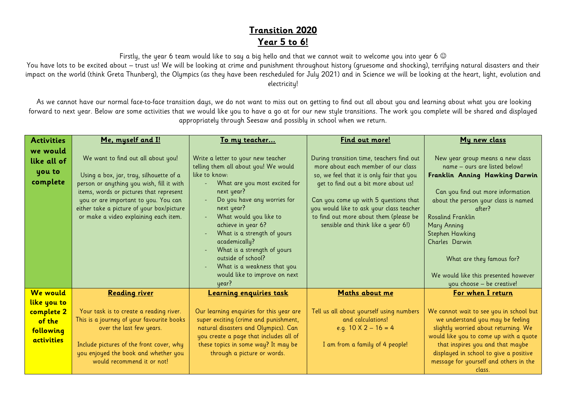## **Transition 2020 Year 5 to 6!**

Firstly, the year 6 team would like to say a big hello and that we cannot wait to welcome you into year 6  $\odot$ 

You have lots to be excited about – trust us! We will be looking at crime and punishment throughout history (gruesome and shocking), terrifying natural disasters and their impact on the world (think Greta Thunberg), the Olympics (as they have been rescheduled for July 2021) and in Science we will be looking at the heart, light, evolution and electricity!

As we cannot have our normal face-to-face transition days, we do not want to miss out on getting to find out all about you and learning about what you are looking forward to next year. Below are some activities that we would like you to have a go at for our new style transitions. The work you complete will be shared and displayed appropriately through Seesaw and possibly in school when we return.

| <b>Activities</b> | Me, myself and I!                         | <u>To my teacher</u>                     | Find out more!                            | My new class                            |
|-------------------|-------------------------------------------|------------------------------------------|-------------------------------------------|-----------------------------------------|
| we would          |                                           |                                          |                                           |                                         |
| like all of       | We want to find out all about you!        | Write a letter to your new teacher       | During transition time, teachers find out | New year group means a new class        |
|                   |                                           | telling them all about you! We would     | more about each member of our class       | name - ours are listed below!           |
| you to            | Using a box, jar, tray, silhouette of a   | like to know:                            | so, we feel that it is only fair that you | Franklin Anning Hawking Darwin          |
| complete          | person or anything you wish, fill it with | What are you most excited for<br>$\sim$  | get to find out a bit more about us!      |                                         |
|                   | items, words or pictures that represent   | next year?                               |                                           | Can you find out more information       |
|                   | you or are important to you. You can      | Do you have any worries for              | Can you come up with 5 questions that     | about the person your class is named    |
|                   | either take a picture of your box/picture | next year?                               | you would like to ask your class teacher  | after?                                  |
|                   | or make a video explaining each item.     | What would you like to<br>$\equiv$       | to find out more about them (please be    | <b>Rosalind Franklin</b>                |
|                   |                                           | achieve in year 6?                       | sensible and think like a year 6!)        | <b>Mary Anning</b>                      |
|                   |                                           | What is a strength of yours              |                                           | <b>Stephen Hawking</b>                  |
|                   |                                           | academically?                            |                                           | Charles Darwin                          |
|                   |                                           | What is a strength of yours              |                                           |                                         |
|                   |                                           | outside of school?                       |                                           | What are they famous for?               |
|                   |                                           | What is a weakness that you              |                                           |                                         |
|                   |                                           | would like to improve on next            |                                           | We would like this presented however    |
|                   |                                           | year?                                    |                                           | you choose - be creative!               |
| We would          | <b>Reading river</b>                      | <b>Learning enquiries task</b>           | Maths about me                            | For when I return                       |
| like you to       |                                           |                                          |                                           |                                         |
| complete 2        | Your task is to create a reading river.   | Our learning enquiries for this year are | Tell us all about yourself using numbers  | We cannot wait to see you in school but |
| of the            | This is a journey of your favourite books | super exciting (crime and punishment,    | and calculations!                         | we understand you may be feeling        |
| following         | over the last few years.                  | natural disasters and Olympics). Can     | e.g. $10 \times 2 - 16 = 4$               | slightly worried about returning. We    |
| activities        |                                           | you create a page that includes all of   |                                           | would like you to come up with a quote  |
|                   | Include pictures of the front cover, why  | these topics in some way? It may be      | I am from a family of 4 people!           | that inspires you and that maybe        |
|                   | you enjoyed the book and whether you      | through a picture or words.              |                                           | displayed in school to give a positive  |
|                   | would recommend it or not!                |                                          |                                           | message for yourself and others in the  |
|                   |                                           |                                          |                                           | class.                                  |